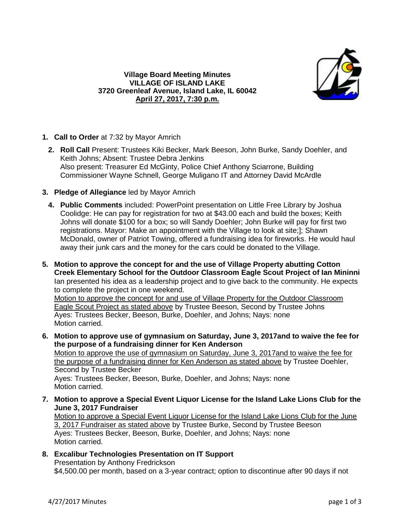

## **Village Board Meeting Minutes VILLAGE OF ISLAND LAKE 3720 Greenleaf Avenue, Island Lake, IL 60042 April 27, 2017, 7:30 p.m.**

- **1. Call to Order** at 7:32 by Mayor Amrich
	- **2. Roll Call** Present: Trustees Kiki Becker, Mark Beeson, John Burke, Sandy Doehler, and Keith Johns; Absent: Trustee Debra Jenkins Also present: Treasurer Ed McGinty, Police Chief Anthony Sciarrone, Building Commissioner Wayne Schnell, George Muligano IT and Attorney David McArdle
- **3. Pledge of Allegiance** led by Mayor Amrich
	- **4. Public Comments** included: PowerPoint presentation on Little Free Library by Joshua Coolidge: He can pay for registration for two at \$43.00 each and build the boxes; Keith Johns will donate \$100 for a box; so will Sandy Doehler; John Burke will pay for first two registrations. Mayor: Make an appointment with the Village to look at site;]; Shawn McDonald, owner of Patriot Towing, offered a fundraising idea for fireworks. He would haul away their junk cars and the money for the cars could be donated to the Village.
- **5. Motion to approve the concept for and the use of Village Property abutting Cotton Creek Elementary School for the Outdoor Classroom Eagle Scout Project of Ian Mininni** Ian presented his idea as a leadership project and to give back to the community. He expects to complete the project in one weekend.

Motion to approve the concept for and use of Village Property for the Outdoor Classroom Eagle Scout Project as stated above by Trustee Beeson, Second by Trustee Johns Ayes: Trustees Becker, Beeson, Burke, Doehler, and Johns; Nays: none Motion carried.

- **6. Motion to approve use of gymnasium on Saturday, June 3, 2017and to waive the fee for the purpose of a fundraising dinner for Ken Anderson** Motion to approve the use of gymnasium on Saturday, June 3, 2017and to waive the fee for the purpose of a fundraising dinner for Ken Anderson as stated above by Trustee Doehler, Second by Trustee Becker Ayes: Trustees Becker, Beeson, Burke, Doehler, and Johns; Nays: none Motion carried.
- **7. Motion to approve a Special Event Liquor License for the Island Lake Lions Club for the June 3, 2017 Fundraiser** Motion to approve a Special Event Liquor License for the Island Lake Lions Club for the June 3, 2017 Fundraiser as stated above by Trustee Burke, Second by Trustee Beeson Ayes: Trustees Becker, Beeson, Burke, Doehler, and Johns; Nays: none Motion carried.
- **8. Excalibur Technologies Presentation on IT Support** Presentation by Anthony Fredrickson \$4,500.00 per month, based on a 3-year contract; option to discontinue after 90 days if not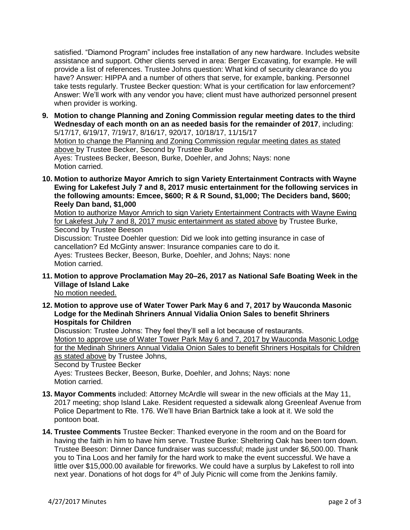satisfied. "Diamond Program" includes free installation of any new hardware. Includes website assistance and support. Other clients served in area: Berger Excavating, for example. He will provide a list of references. Trustee Johns question: What kind of security clearance do you have? Answer: HIPPA and a number of others that serve, for example, banking. Personnel take tests regularly. Trustee Becker question: What is your certification for law enforcement? Answer: We'll work with any vendor you have; client must have authorized personnel present when provider is working.

- **9. Motion to change Planning and Zoning Commission regular meeting dates to the third Wednesday of each month on an as needed basis for the remainder of 2017**, including: 5/17/17, 6/19/17, 7/19/17, 8/16/17, 920/17, 10/18/17, 11/15/17 Motion to change the Planning and Zoning Commission regular meeting dates as stated above by Trustee Becker, Second by Trustee Burke Ayes: Trustees Becker, Beeson, Burke, Doehler, and Johns; Nays: none Motion carried.
- **10. Motion to authorize Mayor Amrich to sign Variety Entertainment Contracts with Wayne Ewing for Lakefest July 7 and 8, 2017 music entertainment for the following services in the following amounts: Emcee, \$600; R & R Sound, \$1,000; The Deciders band, \$600; Reely Dan band, \$1,000**

Motion to authorize Mayor Amrich to sign Variety Entertainment Contracts with Wayne Ewing for Lakefest July 7 and 8, 2017 music entertainment as stated above by Trustee Burke, Second by Trustee Beeson Discussion: Trustee Doehler question: Did we look into getting insurance in case of cancellation? Ed McGinty answer: Insurance companies care to do it.

Ayes: Trustees Becker, Beeson, Burke, Doehler, and Johns; Nays: none Motion carried.

**11. Motion to approve Proclamation May 20–26, 2017 as National Safe Boating Week in the Village of Island Lake**

No motion needed.

**12. Motion to approve use of Water Tower Park May 6 and 7, 2017 by Wauconda Masonic Lodge for the Medinah Shriners Annual Vidalia Onion Sales to benefit Shriners Hospitals for Children**

Discussion: Trustee Johns: They feel they'll sell a lot because of restaurants. Motion to approve use of Water Tower Park May 6 and 7, 2017 by Wauconda Masonic Lodge for the Medinah Shriners Annual Vidalia Onion Sales to benefit Shriners Hospitals for Children as stated above by Trustee Johns, Second by Trustee Becker Ayes: Trustees Becker, Beeson, Burke, Doehler, and Johns; Nays: none Motion carried.

- **13. Mayor Comments** included: Attorney McArdle will swear in the new officials at the May 11, 2017 meeting; shop Island Lake. Resident requested a sidewalk along Greenleaf Avenue from Police Department to Rte. 176. We'll have Brian Bartnick take a look at it. We sold the pontoon boat.
- **14. Trustee Comments** Trustee Becker: Thanked everyone in the room and on the Board for having the faith in him to have him serve. Trustee Burke: Sheltering Oak has been torn down. Trustee Beeson: Dinner Dance fundraiser was successful; made just under \$6,500.00. Thank you to Tina Loos and her family for the hard work to make the event successful. We have a little over \$15,000.00 available for fireworks. We could have a surplus by Lakefest to roll into next year. Donations of hot dogs for  $4<sup>th</sup>$  of July Picnic will come from the Jenkins family.